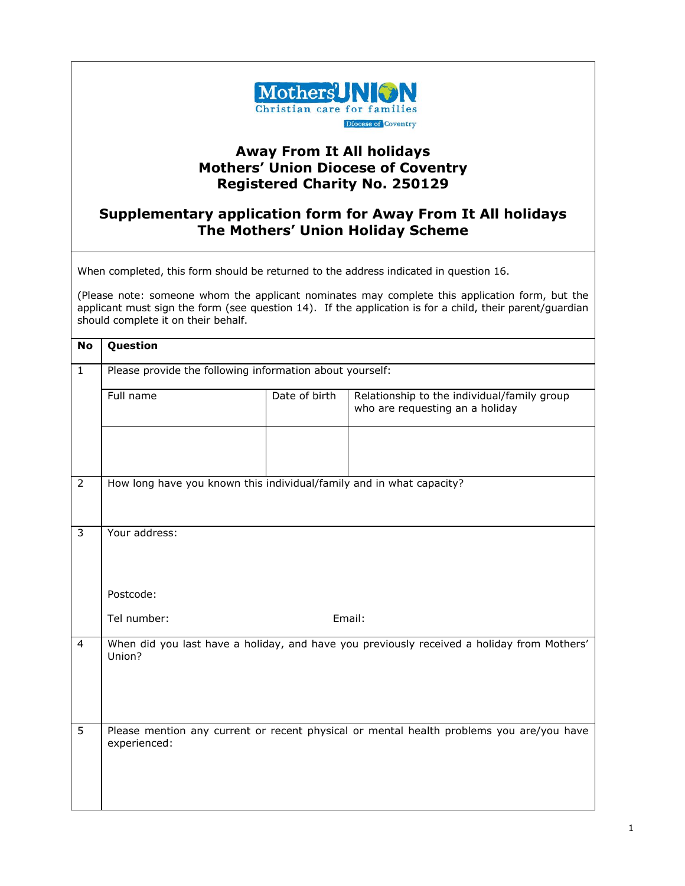

## **Away From It All holidays Mothers' Union Diocese of Coventry Registered Charity No. 250129**

## **Supplementary application form for Away From It All holidays The Mothers' Union Holiday Scheme**

When completed, this form should be returned to the address indicated in question 16.

(Please note: someone whom the applicant nominates may complete this application form, but the applicant must sign the form (see question 14). If the application is for a child, their parent/guardian should complete it on their behalf.

| <b>No</b>      | Question                                                             |               |                                                                                            |  |  |
|----------------|----------------------------------------------------------------------|---------------|--------------------------------------------------------------------------------------------|--|--|
| $\mathbf{1}$   | Please provide the following information about yourself:             |               |                                                                                            |  |  |
|                | Full name                                                            | Date of birth | Relationship to the individual/family group<br>who are requesting an a holiday             |  |  |
|                |                                                                      |               |                                                                                            |  |  |
| $\overline{2}$ | How long have you known this individual/family and in what capacity? |               |                                                                                            |  |  |
| 3              | Your address:                                                        |               |                                                                                            |  |  |
|                | Postcode:                                                            |               |                                                                                            |  |  |
|                | Tel number:                                                          |               | Email:                                                                                     |  |  |
| $\overline{4}$ | Union?                                                               |               | When did you last have a holiday, and have you previously received a holiday from Mothers' |  |  |
| 5              | experienced:                                                         |               | Please mention any current or recent physical or mental health problems you are/you have   |  |  |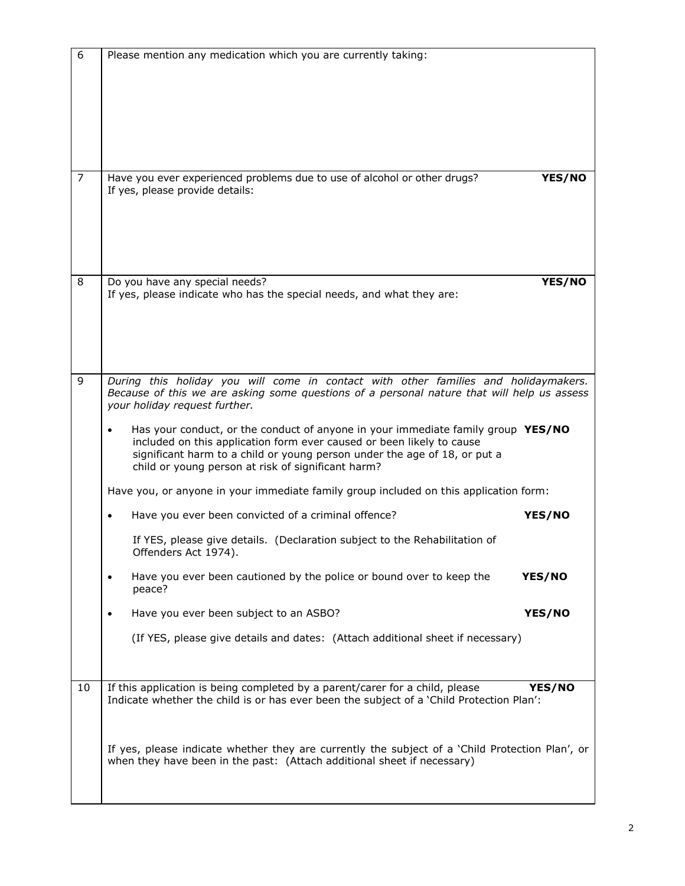| 6              | Please mention any medication which you are currently taking:                                                                                                                                                                                                                                                                                                                                                                                                                                                                                                                                                            |  |  |
|----------------|--------------------------------------------------------------------------------------------------------------------------------------------------------------------------------------------------------------------------------------------------------------------------------------------------------------------------------------------------------------------------------------------------------------------------------------------------------------------------------------------------------------------------------------------------------------------------------------------------------------------------|--|--|
| $\overline{7}$ | Have you ever experienced problems due to use of alcohol or other drugs?<br>YES/NO<br>If yes, please provide details:                                                                                                                                                                                                                                                                                                                                                                                                                                                                                                    |  |  |
| 8              | Do you have any special needs?<br>YES/NO<br>If yes, please indicate who has the special needs, and what they are:                                                                                                                                                                                                                                                                                                                                                                                                                                                                                                        |  |  |
| 9              | During this holiday you will come in contact with other families and holidaymakers.<br>Because of this we are asking some questions of a personal nature that will help us assess<br>your holiday request further.<br>Has your conduct, or the conduct of anyone in your immediate family group YES/NO<br>$\bullet$<br>included on this application form ever caused or been likely to cause<br>significant harm to a child or young person under the age of 18, or put a<br>child or young person at risk of significant harm?<br>Have you, or anyone in your immediate family group included on this application form: |  |  |
|                | Have you ever been convicted of a criminal offence?<br>YES/NO<br>If YES, please give details. (Declaration subject to the Rehabilitation of<br>Offenders Act 1974).                                                                                                                                                                                                                                                                                                                                                                                                                                                      |  |  |
|                | Have you ever been cautioned by the police or bound over to keep the<br>YES/NO<br>$\bullet$<br>peace?<br>Have you ever been subject to an ASBO?<br>YES/NO<br>$\bullet$<br>(If YES, please give details and dates: (Attach additional sheet if necessary)                                                                                                                                                                                                                                                                                                                                                                 |  |  |
| 10             | If this application is being completed by a parent/carer for a child, please<br>YES/NO<br>Indicate whether the child is or has ever been the subject of a 'Child Protection Plan':                                                                                                                                                                                                                                                                                                                                                                                                                                       |  |  |
|                | If yes, please indicate whether they are currently the subject of a 'Child Protection Plan', or<br>when they have been in the past: (Attach additional sheet if necessary)                                                                                                                                                                                                                                                                                                                                                                                                                                               |  |  |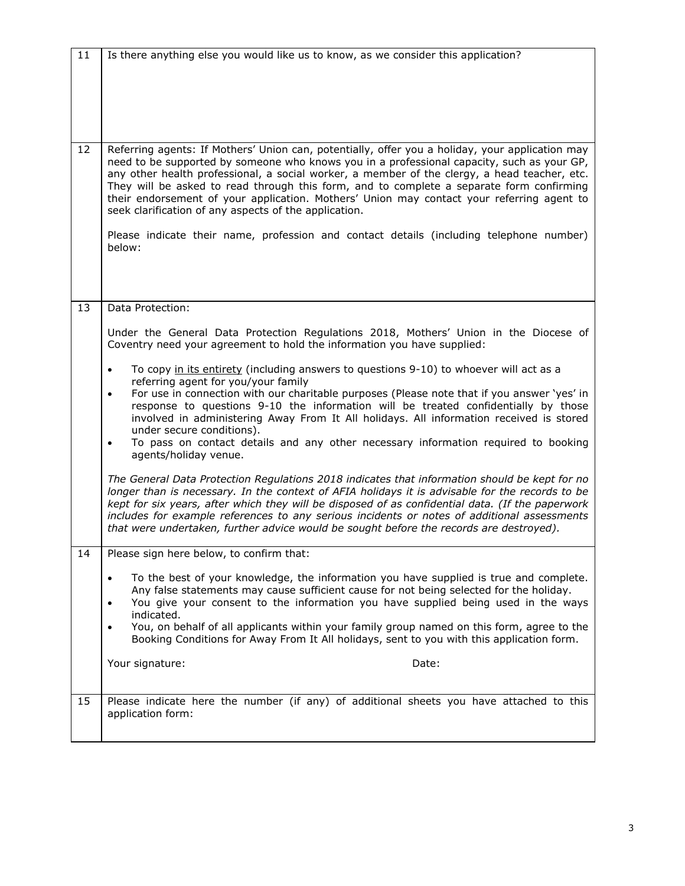| 11 | Is there anything else you would like us to know, as we consider this application?                                                                                                                                                                                                                                                                                                                                                                                                                                                              |  |  |  |
|----|-------------------------------------------------------------------------------------------------------------------------------------------------------------------------------------------------------------------------------------------------------------------------------------------------------------------------------------------------------------------------------------------------------------------------------------------------------------------------------------------------------------------------------------------------|--|--|--|
|    |                                                                                                                                                                                                                                                                                                                                                                                                                                                                                                                                                 |  |  |  |
|    |                                                                                                                                                                                                                                                                                                                                                                                                                                                                                                                                                 |  |  |  |
|    |                                                                                                                                                                                                                                                                                                                                                                                                                                                                                                                                                 |  |  |  |
|    |                                                                                                                                                                                                                                                                                                                                                                                                                                                                                                                                                 |  |  |  |
|    |                                                                                                                                                                                                                                                                                                                                                                                                                                                                                                                                                 |  |  |  |
| 12 | Referring agents: If Mothers' Union can, potentially, offer you a holiday, your application may<br>need to be supported by someone who knows you in a professional capacity, such as your GP,<br>any other health professional, a social worker, a member of the clergy, a head teacher, etc.<br>They will be asked to read through this form, and to complete a separate form confirming<br>their endorsement of your application. Mothers' Union may contact your referring agent to<br>seek clarification of any aspects of the application. |  |  |  |
|    | Please indicate their name, profession and contact details (including telephone number)<br>below:                                                                                                                                                                                                                                                                                                                                                                                                                                               |  |  |  |
|    |                                                                                                                                                                                                                                                                                                                                                                                                                                                                                                                                                 |  |  |  |
|    |                                                                                                                                                                                                                                                                                                                                                                                                                                                                                                                                                 |  |  |  |
| 13 | Data Protection:                                                                                                                                                                                                                                                                                                                                                                                                                                                                                                                                |  |  |  |
|    |                                                                                                                                                                                                                                                                                                                                                                                                                                                                                                                                                 |  |  |  |
|    | Under the General Data Protection Regulations 2018, Mothers' Union in the Diocese of<br>Coventry need your agreement to hold the information you have supplied:                                                                                                                                                                                                                                                                                                                                                                                 |  |  |  |
|    | To copy in its entirety (including answers to questions 9-10) to whoever will act as a<br>$\bullet$                                                                                                                                                                                                                                                                                                                                                                                                                                             |  |  |  |
|    | referring agent for you/your family<br>For use in connection with our charitable purposes (Please note that if you answer 'yes' in                                                                                                                                                                                                                                                                                                                                                                                                              |  |  |  |
|    | $\bullet$<br>response to questions 9-10 the information will be treated confidentially by those<br>involved in administering Away From It All holidays. All information received is stored<br>under secure conditions).                                                                                                                                                                                                                                                                                                                         |  |  |  |
|    | To pass on contact details and any other necessary information required to booking<br>$\bullet$<br>agents/holiday venue.                                                                                                                                                                                                                                                                                                                                                                                                                        |  |  |  |
|    | The General Data Protection Regulations 2018 indicates that information should be kept for no<br>longer than is necessary. In the context of AFIA holidays it is advisable for the records to be<br>kept for six years, after which they will be disposed of as confidential data. (If the paperwork<br>includes for example references to any serious incidents or notes of additional assessments<br>that were undertaken, further advice would be sought before the records are destroyed).                                                  |  |  |  |
| 14 | Please sign here below, to confirm that:                                                                                                                                                                                                                                                                                                                                                                                                                                                                                                        |  |  |  |
|    | To the best of your knowledge, the information you have supplied is true and complete.<br>Any false statements may cause sufficient cause for not being selected for the holiday.<br>You give your consent to the information you have supplied being used in the ways<br>$\bullet$<br>indicated.                                                                                                                                                                                                                                               |  |  |  |
|    | You, on behalf of all applicants within your family group named on this form, agree to the<br>Booking Conditions for Away From It All holidays, sent to you with this application form.                                                                                                                                                                                                                                                                                                                                                         |  |  |  |
|    | Your signature:<br>Date:                                                                                                                                                                                                                                                                                                                                                                                                                                                                                                                        |  |  |  |
|    |                                                                                                                                                                                                                                                                                                                                                                                                                                                                                                                                                 |  |  |  |
| 15 | Please indicate here the number (if any) of additional sheets you have attached to this<br>application form:                                                                                                                                                                                                                                                                                                                                                                                                                                    |  |  |  |
|    |                                                                                                                                                                                                                                                                                                                                                                                                                                                                                                                                                 |  |  |  |